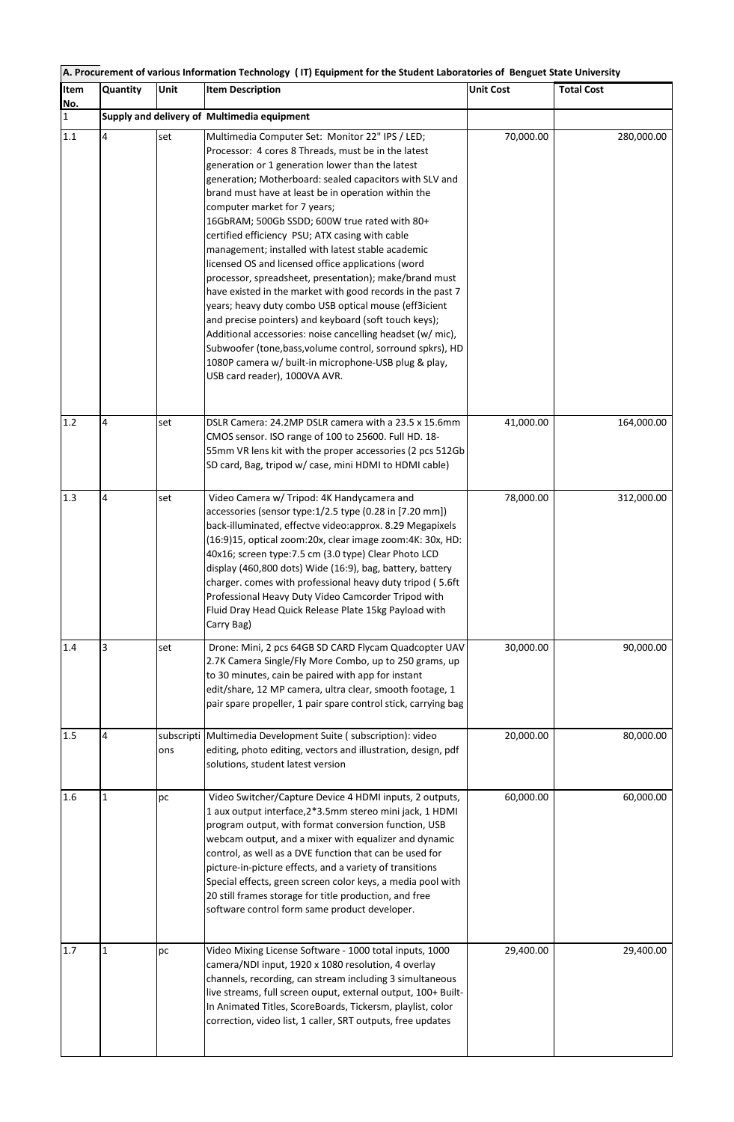| A. Procurement of various Information Technology (IT) Equipment for the Student Laboratories of Benguet State University |                                             |      |                                                                                                                                                                                                                                                                                                                                                                                                                                                                                                                                                                                                                                                                                                                                                                                                                                                                                                                                                                                            |                  |                   |  |  |  |
|--------------------------------------------------------------------------------------------------------------------------|---------------------------------------------|------|--------------------------------------------------------------------------------------------------------------------------------------------------------------------------------------------------------------------------------------------------------------------------------------------------------------------------------------------------------------------------------------------------------------------------------------------------------------------------------------------------------------------------------------------------------------------------------------------------------------------------------------------------------------------------------------------------------------------------------------------------------------------------------------------------------------------------------------------------------------------------------------------------------------------------------------------------------------------------------------------|------------------|-------------------|--|--|--|
| Item<br>No.                                                                                                              | Quantity                                    | Unit | <b>Item Description</b>                                                                                                                                                                                                                                                                                                                                                                                                                                                                                                                                                                                                                                                                                                                                                                                                                                                                                                                                                                    | <b>Unit Cost</b> | <b>Total Cost</b> |  |  |  |
| $\mathbf{1}$                                                                                                             | Supply and delivery of Multimedia equipment |      |                                                                                                                                                                                                                                                                                                                                                                                                                                                                                                                                                                                                                                                                                                                                                                                                                                                                                                                                                                                            |                  |                   |  |  |  |
| 1.1                                                                                                                      | 4                                           | set  | Multimedia Computer Set: Monitor 22" IPS / LED;<br>Processor: 4 cores 8 Threads, must be in the latest<br>generation or 1 generation lower than the latest<br>generation; Motherboard: sealed capacitors with SLV and<br>brand must have at least be in operation within the<br>computer market for 7 years;<br>16GbRAM; 500Gb SSDD; 600W true rated with 80+<br>certified efficiency PSU; ATX casing with cable<br>management; installed with latest stable academic<br>licensed OS and licensed office applications (word<br>processor, spreadsheet, presentation); make/brand must<br>have existed in the market with good records in the past 7<br>years; heavy duty combo USB optical mouse (eff3icient<br>and precise pointers) and keyboard (soft touch keys);<br>Additional accessories: noise cancelling headset (w/ mic),<br>Subwoofer (tone, bass, volume control, sorround spkrs), HD<br>1080P camera w/ built-in microphone-USB plug & play,<br>USB card reader), 1000VA AVR. | 70,000.00        | 280,000.00        |  |  |  |
| 1.2                                                                                                                      | 4                                           | set  | DSLR Camera: 24.2MP DSLR camera with a 23.5 x 15.6mm<br>CMOS sensor. ISO range of 100 to 25600. Full HD. 18-<br>55mm VR lens kit with the proper accessories (2 pcs 512Gb<br>SD card, Bag, tripod w/ case, mini HDMI to HDMI cable)                                                                                                                                                                                                                                                                                                                                                                                                                                                                                                                                                                                                                                                                                                                                                        | 41,000.00        | 164,000.00        |  |  |  |
| 1.3                                                                                                                      | 4                                           | set  | Video Camera w/ Tripod: 4K Handycamera and<br>accessories (sensor type:1/2.5 type (0.28 in [7.20 mm])<br>back-illuminated, effectve video:approx. 8.29 Megapixels<br>(16:9)15, optical zoom:20x, clear image zoom:4K: 30x, HD:<br>40x16; screen type:7.5 cm (3.0 type) Clear Photo LCD<br>display (460,800 dots) Wide (16:9), bag, battery, battery<br>charger. comes with professional heavy duty tripod (5.6ft<br>Professional Heavy Duty Video Camcorder Tripod with<br>Fluid Dray Head Quick Release Plate 15kg Payload with<br>Carry Bag)                                                                                                                                                                                                                                                                                                                                                                                                                                             | 78,000.00        | 312,000.00        |  |  |  |
| 1.4                                                                                                                      | 3                                           | set  | Drone: Mini, 2 pcs 64GB SD CARD Flycam Quadcopter UAV<br>2.7K Camera Single/Fly More Combo, up to 250 grams, up<br>to 30 minutes, cain be paired with app for instant<br>edit/share, 12 MP camera, ultra clear, smooth footage, 1<br>pair spare propeller, 1 pair spare control stick, carrying bag                                                                                                                                                                                                                                                                                                                                                                                                                                                                                                                                                                                                                                                                                        | 30,000.00        | 90,000.00         |  |  |  |
| 1.5                                                                                                                      | 4                                           | ons  | subscripti Multimedia Development Suite ( subscription): video<br>editing, photo editing, vectors and illustration, design, pdf<br>solutions, student latest version                                                                                                                                                                                                                                                                                                                                                                                                                                                                                                                                                                                                                                                                                                                                                                                                                       | 20,000.00        | 80,000.00         |  |  |  |
| 1.6                                                                                                                      | $\mathbf{1}$                                | pc   | Video Switcher/Capture Device 4 HDMI inputs, 2 outputs,<br>1 aux output interface, 2*3.5mm stereo mini jack, 1 HDMI<br>program output, with format conversion function, USB<br>webcam output, and a mixer with equalizer and dynamic<br>control, as well as a DVE function that can be used for<br>picture-in-picture effects, and a variety of transitions<br>Special effects, green screen color keys, a media pool with<br>20 still frames storage for title production, and free<br>software control form same product developer.                                                                                                                                                                                                                                                                                                                                                                                                                                                      | 60,000.00        | 60,000.00         |  |  |  |
| 1.7                                                                                                                      | $\mathbf{1}$                                | pc   | Video Mixing License Software - 1000 total inputs, 1000<br>camera/NDI input, 1920 x 1080 resolution, 4 overlay<br>channels, recording, can stream including 3 simultaneous<br>live streams, full screen ouput, external output, 100+ Built-<br>In Animated Titles, ScoreBoards, Tickersm, playlist, color<br>correction, video list, 1 caller, SRT outputs, free updates                                                                                                                                                                                                                                                                                                                                                                                                                                                                                                                                                                                                                   | 29,400.00        | 29,400.00         |  |  |  |